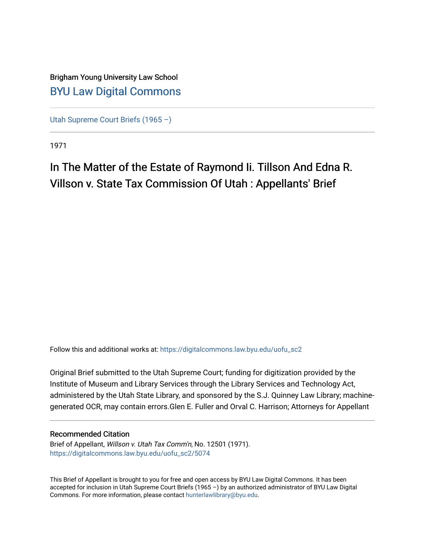## Brigham Young University Law School [BYU Law Digital Commons](https://digitalcommons.law.byu.edu/)

[Utah Supreme Court Briefs \(1965 –\)](https://digitalcommons.law.byu.edu/uofu_sc2)

1971

# In The Matter of the Estate of Raymond Ii. Tillson And Edna R. Villson v. State Tax Commission Of Utah : Appellants' Brief

Follow this and additional works at: [https://digitalcommons.law.byu.edu/uofu\\_sc2](https://digitalcommons.law.byu.edu/uofu_sc2?utm_source=digitalcommons.law.byu.edu%2Fuofu_sc2%2F5074&utm_medium=PDF&utm_campaign=PDFCoverPages)

Original Brief submitted to the Utah Supreme Court; funding for digitization provided by the Institute of Museum and Library Services through the Library Services and Technology Act, administered by the Utah State Library, and sponsored by the S.J. Quinney Law Library; machinegenerated OCR, may contain errors.Glen E. Fuller and Orval C. Harrison; Attorneys for Appellant

### Recommended Citation

Brief of Appellant, Willson v. Utah Tax Comm'n, No. 12501 (1971). [https://digitalcommons.law.byu.edu/uofu\\_sc2/5074](https://digitalcommons.law.byu.edu/uofu_sc2/5074?utm_source=digitalcommons.law.byu.edu%2Fuofu_sc2%2F5074&utm_medium=PDF&utm_campaign=PDFCoverPages) 

This Brief of Appellant is brought to you for free and open access by BYU Law Digital Commons. It has been accepted for inclusion in Utah Supreme Court Briefs (1965 –) by an authorized administrator of BYU Law Digital Commons. For more information, please contact [hunterlawlibrary@byu.edu](mailto:hunterlawlibrary@byu.edu).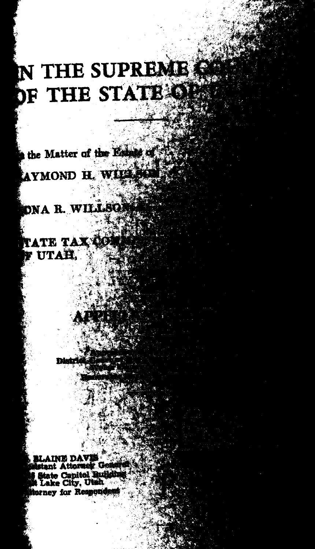# **N THE SUPREME** PF THE STATE OF

the Matter of the Est AYMOND H. WILL

**DNA R. WILLSQ** 

ATE TAX UTAH.

INE DAV nt Attorney Ge State Capitol Buildh orney for Respond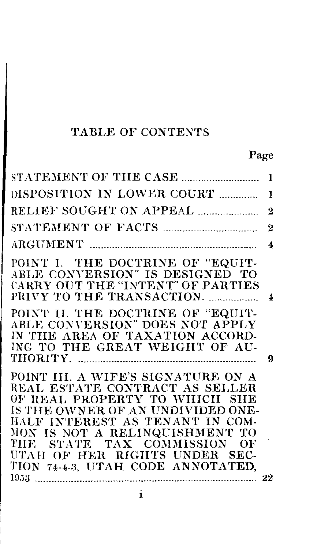## TABLE OF CONTENTS

## Page

|                                                                                                                                                                                                                                                                                                                      | 1                       |
|----------------------------------------------------------------------------------------------------------------------------------------------------------------------------------------------------------------------------------------------------------------------------------------------------------------------|-------------------------|
| DISPOSITION IN LOWER COURT                                                                                                                                                                                                                                                                                           | 1                       |
| RELIEF SOUGHT ON APPEAL                                                                                                                                                                                                                                                                                              | $\overline{2}$          |
|                                                                                                                                                                                                                                                                                                                      | $\overline{2}$          |
|                                                                                                                                                                                                                                                                                                                      | 4                       |
| POINT I. THE DOCTRINE OF "EQUIT-<br>ABLE CONVERSION" IS DESIGNED TO<br>CARRY OUT THE "INTENT" OF PARTIES<br>PRIVY TO THE TRANSACTION.                                                                                                                                                                                | $\overline{\mathbf{1}}$ |
| POINT II. THE DOCTRINE OF "EQUIT-<br>ABLE CONVERSION" DOES NOT APPLY<br>IN THE AREA OF TAXATION ACCORD-<br>ING TO THE GREAT WEIGHT OF AU-                                                                                                                                                                            | 9                       |
| POINT III. A WIFE'S SIGNATURE ON A<br>REAL ESTATE CONTRACT AS SELLER<br>OF REAL PROPERTY TO WHICH SHE<br>IS THE OWNER OF AN UNDIVIDED ONE-<br>HALF INTEREST AS TENANT IN COM-<br>MON IS NOT A RELINQUISHMENT TO<br>THE STATE TAX COMMISSION OF<br>UTAH OF HER RIGHTS UNDER SEC-<br>TION 74-4-3, UTAH CODE ANNOTATED, |                         |

 $\mathbf{i}$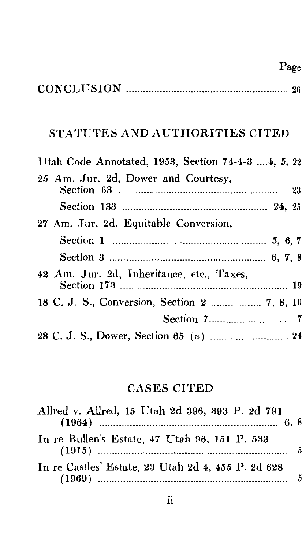## CONCLUSION ----------------------------------························ 26

Page

## STATUTES AND AUTHORITIES CITED

| Utah Code Annotated, 1953, Section 74-4-3  4, 5, 22 |  |
|-----------------------------------------------------|--|
| 25 Am. Jur. 2d, Dower and Courtesy,                 |  |
|                                                     |  |
| 27 Am. Jur. 2d, Equitable Conversion,               |  |
|                                                     |  |
|                                                     |  |
| 42 Am. Jur. 2d, Inheritance, etc., Taxes,           |  |
|                                                     |  |
|                                                     |  |
|                                                     |  |

## CASES CITED

| Allred v. Allred, 15 Utah 2d 396, 393 P. 2d 791                                                                                                                                                                                                                                                                                                                                                                                                                                      |  |
|--------------------------------------------------------------------------------------------------------------------------------------------------------------------------------------------------------------------------------------------------------------------------------------------------------------------------------------------------------------------------------------------------------------------------------------------------------------------------------------|--|
|                                                                                                                                                                                                                                                                                                                                                                                                                                                                                      |  |
| In re Bullen's Estate, 47 Utah 96, 151 P. 533                                                                                                                                                                                                                                                                                                                                                                                                                                        |  |
| In re Castles' Estate, 23 Utah 2d 4, 455 P. 2d 628<br>(1969)<br>$\begin{minipage}{.4\linewidth} \begin{tabular}{l} \hline \textbf{11} & \textbf{12} & \textbf{13} & \textbf{14} & \textbf{15} & \textbf{16} & \textbf{17} & \textbf{18} & \textbf{18} & \textbf{19} & \textbf{18} & \textbf{19} & \textbf{18} & \textbf{19} & \textbf{19} & \textbf{18} & \textbf{19} & \textbf{19} & \textbf{18} & \textbf{19} & \textbf{18} & \textbf{19} & \textbf{19} & \textbf{18} & \textbf{1$ |  |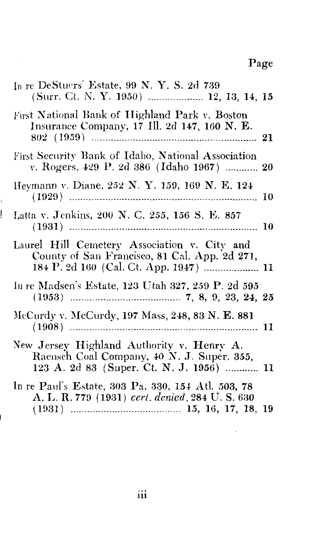# Page

 $\cdot$ 

| In re DeStuers' Estate, 99 N.Y.S. 2d 739<br>(Surr. Ct. N. Y. 1950)  12, 13, 14, 15                                                  |  |
|-------------------------------------------------------------------------------------------------------------------------------------|--|
| First National Bank of Highland Park v. Boston<br>Insurance Company, 17 Ill. 2d 147, 160 N. E.                                      |  |
| First Security Bank of Idaho, National Association<br>v. Rogers, 429 P. 2d 386 (Idaho 1967)  20                                     |  |
| Heymann v. Diane, 252 N. Y. 159, 169 N. E. 124                                                                                      |  |
| Latta v. Jenkins, 200 N. C. 255, 156 S. E. 857                                                                                      |  |
| Laurel Hill Cemetery Association v. City and<br>County of San Francisco, 81 Cal. App. 2d 271,                                       |  |
| In re Madsen's Estate, 123 Utah 327, 259 P. 2d 595                                                                                  |  |
| McCurdy v. McCurdy, 197 Mass, 248, 83 N. E. 881                                                                                     |  |
| New Jersey Highland Authority v. Henry A.<br>Raensch Coal Company, 40 N. J. Super. 355,<br>123 A. 2d 83 (Super. Ct. N. J. 1956)  11 |  |
| In re Paul's Estate, 303 Pa. 330, 154 Atl. 503, 78<br>A. L. R. 779 (1931) cert. denied, 284 U. S. 630                               |  |

ı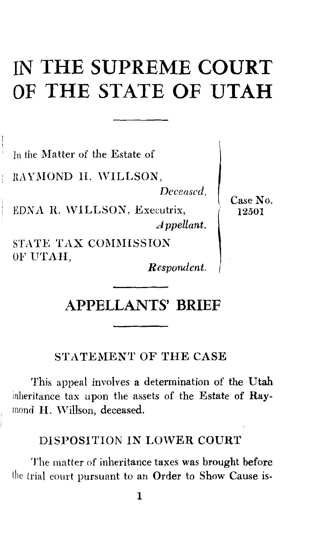# **IN THE SUPREME COURT OF THE STATE OF UTAH**

In the Matter of the Estate of

RAYMOND II. WILLSON,

*Deceased,* 

**EDNA R. WILLSON, Executrix,** *Appellant.* 

STATE TAX COMMISSION OF UTAH,

*Respondent.* 

Case No. 12501

## **APPELLANTS' BRIEF**

STATEMENT OF THE CASE

This appeal involves a determination of the Utah inheritance tax upon the assets of the Estate of Ray mond H. Willson, deceased.

### DISPOSITION IN LOWER COURT

The matter of inheritance taxes was brought before the trial court pursuant to an Order to Show Cause is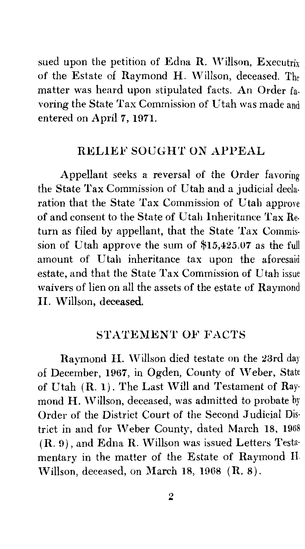sued upon the petition of Edna R. Willson, Executrix of the Estate of Raymond H. Willson, deceased. The matter was heard upon stipulated facts. An Order favoring the State Tax Commission of Utah was made and entered on April 7, 1971.

### RELIEF SOUGHT ON APPEAL

Appellant seeks a reversal of the Order favoring the State Tax Commission of Utah and a judicial declaration that the State Tax Commission of Utah approve of and consent to the State of Utah Inheritance Tax Re- • turn as filed by appellant, that the State Tax Commission of Utah approve the sum of \$15,425.07 as the full amount of Utah inheritance tax upon the aforesaid estate, and that the State Tax Commission of Utah issue waivers of lien on all the assets of the estate of Raymond II. Willson, deceased.

### STATEMENT OF FACTS

Raymond H. Willson died testate on the 23rd day of December, 1967, in Ogden, County of Weber, State of Utah (R. 1). The Last Will and Testament of Ray mond H. Willson, deceased, was admitted to probate by Order of the District Court of the Second Judicial Dis· trict in and for Weber County, dated March 18, 196  $(R. 9)$ , and Edna R. Willson was issued Letters Testa mentary in the matter of the Estate of Raymond H. 'Villson, deceased, on March 18, 1968 (R. 8).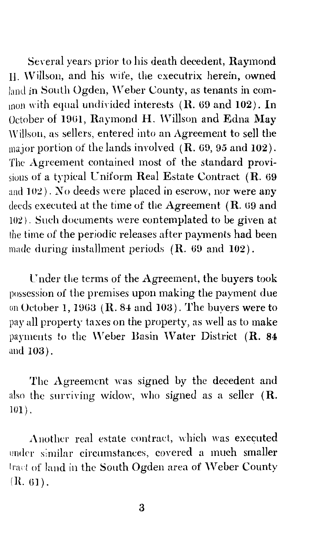Several years prior to his death decedent, Raymond II. \Villson, and his wife, the executrix herein, owned land in South Ogden, Weber County, as tenants in common with equal undivided interests  $(R. 69$  and  $102)$ . In October of 1961, Raymond H. Willson and Edna May Willson, as sellers, entered into an Agreement to sell the major portion of the lands involved  $(R. 69, 95 \text{ and } 102)$ . The Agreement contained most of the standard provisions of a typieal Cniform Real Estate Contract (R. 69 and 102). No deeds were placed in escrow, nor were any deeds executed at the time of the Agreement  $(R. 69$  and  $102$ ). Such doeuments were contemplated to be given at the time of the periodic releases after payments had been made during installment periods  $(R. 69$  and  $102$ ).

C nder the terms of the Agreement, the buyers took possession of the premises upon making the payment due on October 1, 1963 ( $R$ , 84 and 103). The buyers were to pay all property taxes on the property, as well as to make payments to the Weber Basin Water District (R. 84 and 103).

The Agreement was signed by the decedent and also the surviving widow, who signed as a seller  $(R)$ IOI) .

Another real estate contract, which was executed under similar circumstances, covered a much smaller lract of land in the South Ogden area of Weber County  $(R. 61)$ .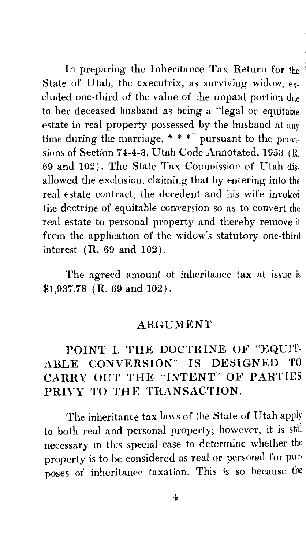In preparing the Inheritance Tax Return for the State of Utah, the executrix, as surviving widow,  $ex$ . cluded one-third of the value of the unpaid portion due to her deceased husband as being a "legal or equitable estate in real property possessed by the husband at any time during the marriage,  $***$  pursuant to the provisions of Section 74-4-3, Utah Code Annotated, 1953 (R 69 and 102). The State Tax Commission of Utah disallowed the exclusion, claiming that by entering into the real estate contract, the decedent and his wife invoked the doctrine of equitable conversion so as to convert the real estate to personal property and thereby remove it from the application of the widow's statutory one-third interest (R. 69 and 102).

The agreed amount of inheritance tax at issue is \$1,937.78 (R. 69 and 102).

#### ARGUMENT

## POINT I. THE DOCTRINE OF "EQUIT-ABLE CONVERSION" IS DESIGNED TO CARRY OUT THE "INTENT" OF PARTIES PRIVY TO THE TRANSACTION.

The inheritance tax laws of the State of Utah apply to both real and personal property; however, it is still necessary in this special case to determine whether the property is to be considered as real or personal for pur· poses of inheritance taxation. This is so because the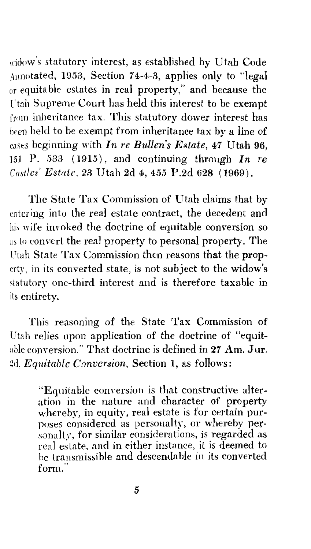widow's statutory interest, as established by Utah Code Annotated, 1953, Section 7 4-4-3, applies only to "legal or equitable estates in real property," and because the I'tah Supreme Court has held this interest to be exempt from inheritance tax. This statutory dower interest has heen held to be exempt from inheritance tax by a line of cases beginning with *In re Bullen's Estate,* 47 Utah 96, 151 P. 533 (1915), and continuing through *In re C!/stlcs' Estate,* 23 Utah 2d 4, 455 P.2d 628 (1969).

The State Tax Commission of Utah claims that by entering into the real estate contract, the decedent and wife invoked the doctrine of equitable conversion so as to convert the real property to personal property. The Utah State Tax Commission then reasons that the property, in its converted state, is not subject to the widow's statutory one-third interest and is therefore taxable in its entirety.

This reasoning of the State Tax Commission of Utah relies upon application of the doctrine of "equitable conversion." That doctrine is defined in  $27$  Am. Jur. Zd, *Equitable Conversion,* Section 1, as follows:

> "Equitable conversion is that constructive alteration in the nature and character of property whereby, in equity, real estate is for certain purposes considered as personalty, or whereby personaltv, for similar considerations, is regarded as real estate, and in either instance, it is deemed to he transmissible and descendable in its converted form."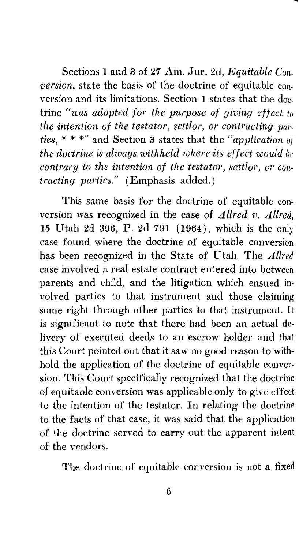Sections 1 and 3 of 27 Am. Jur. 2d, *Equitable Conversion,* state the basis of the doctrine of equitable con. version and its limitations. Section 1 states that the doc. trine *"was adopted for the purpose of giving effect to the intention of the testator, settlor, or contracting parties,* \* \* \*" and Section 3 states that the *"application of the doctrine is always withheld where its effect would be contrary to the intention of the testator, settlor, or contracting parties."* (Emphasis added.)

This same basis for the doctrine of equitable conversion was recognized in the case of *Allred v. Allred,*  15 Utah 2d 396, P. 2d 791 ( 1964), which is the only case found where the doctrine of equitable conversion has been recognized in the State of Utah. The *Allred*  case involved a real estate contract entered into between parents and child, and the litigation which ensued in· volved parties to that instrument and those claiming some right through other parties to that instrument. It is significant to note that there had been an actual delivery of executed deeds to an escrow holder and that this Court pointed out that it saw no good reason to withhold the application of the doctrine of equitable conver· sion. This Court specifically recognized that the doctrine of equitable conversion was applicable only to give effect to the intention of the testator. In relating the doctrine to the facts of that case, it was said that the application of the doctrine served to carry out the apparent intent of the vendors.

The doctrine of equitable conversion is not a fixed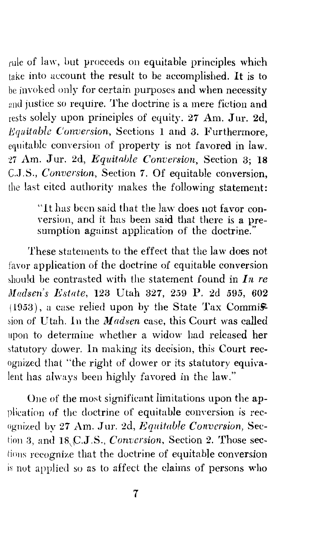rule of law, but proceeds on equitable principles which take into account the result to be accomplished. It is to be invoked only for certain purposes and when necessity and justice so require. The doctrine is a mere fiction and rests solely upon principles of equity. 27 Am. Jur. 2d, *Equitable Conversion,* Sections 1 and 3. Furthermore, equitable conversion of property is not favored in law. 27 Am. Jur. 2d, *Equitable Conversion*, Section 3: 18 C.J.S., *Conversion*, Section 7. Of equitable conversion, the last cited authority makes the following statement:

> "It has been said that the law does not favor conversion, and it has been said that there is a presumption against application of the doctrine."

These statements to the effect that the law does not favor application of the doctrine of equitable conversion should be contrasted with the statement found in  $I_n$  re *Madsen's Estate, 123 Utah 327, 259 P. 2d 595, 602*  $(1953)$ , a case relied upon by the State Tax Commission of Utah. In the *Madsen* case, this Court was called upon to determine whether a widow had released her statutory dower. In making its decision, this Court recognized that ''the right of dower or its statutory equivalent has always been highly favored in the law."

One of the most significant limitations upon the application of the doctrine of equitable conversion is recognized by 27 Am. Jur. 2d, *Equitable Conversion*, Section 3, and 18,\C.J.S., *Conversion,* Section 2. Those sections recognize that the doctrine of equitable conversion not applied so as to affect the claims of persons who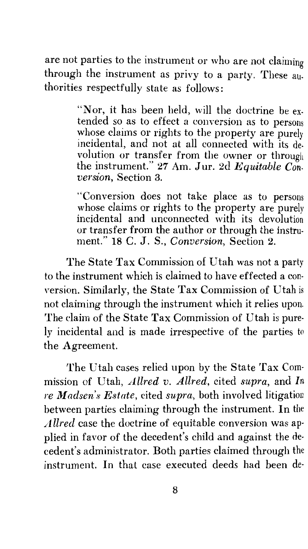are not parties to the instrument or who are not claiming through the instrument as privy to a party. These authorities respectfully state as follows:

> "Nor, it has been held, will the doctrine be extended so as to effect a conversion as to persons whose claims or rights to the property are purely incidental, and not at all connected with its devolution or transfer from the owner or through the instrument." 27 Am. Jur. 2d *Equitable Conversion,* Section 3.

> "Conversion does not take place as to persons whose claims or rights to the property are purely incidental and unconnected with its devolution or transfer from the author or through the instrument." 18 C. J. S., *Conversion,* Section 2.

The State Tax Commission of Utah was not a party to the instrument which is claimed to have effected a conversion. Similarly, the State Tax Commission of Utah is not claiming through the instrument which it relies upon. The claim of the State Tax Commission of Utah is purely incidental and is made irrespective of the parties to the Agreement.

The Utah cases relied upon by the State Tax Commission of Utah, *Allred v. Allred,* cited *supra,* and *In re Madsen's Estate,* cited *supra,* both involved litigation between parties claiming through the instrument. In the *Allred* case the doctrine of equitable conversion was applied in favor of the decedent's child and against the de· cedent's administrator. Both parties claimed through the instrument. In that case executed deeds had been de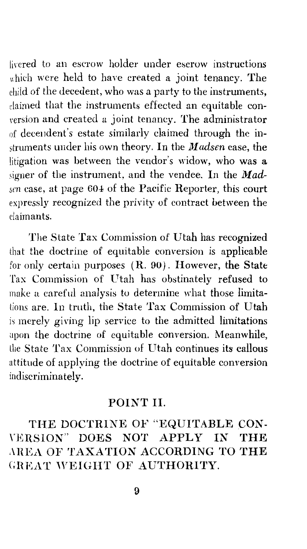lirered to an escrow holder under escrow instructions which were held to have created a joint tenancy. The child of the decedent, who was a party to the instruments, daimed that the instruments effected an equitable conrersion and created a joint tenancy. The administrator of decendent's estate similarly claimed through the instruments under his own theory. In the *Madsen* case, the litigation was between the vendor's widow, who was a signer of the instrument, and the vendee. In the *Madsen* case, at page 604 of the Pacific Reporter, this court expressly recognized the privity of contract between the daimants.

The State Tax Commission of Utah has recognized that the doctrine of equitable conversion is applicable for only certain purposes  $(R. 90)$ . However, the State Tax Commission of Utah has obstinately refused to make a careful analysis to determine what those limitations are. In truth, the State Tax Commission of Utah is merely giving lip service to the admitted limitations upon the doctrine of equitable conversion. Meanwhile, the State Tax Commission of Utah continues its callous attitude of applying the doctrine of equitable conversion indiscriminately.

#### POINT II.

THE DOCTRINE OF "EQUITABLE CON- \'ERSION" DOES NOT APPLY IN THE AREA OF TAXATION ACCORDING TO THE GREAT WEIGHT OF AUTHORITY.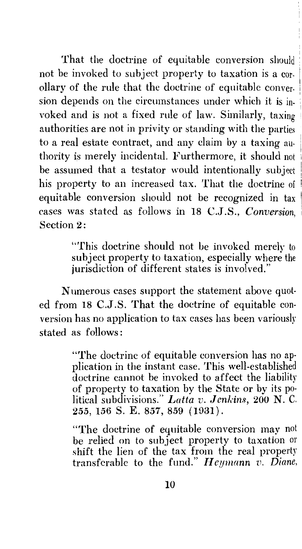That the doctrine of equitable conversion should not be invoked to subject property to taxation is a corollary of the rule that the doctrine of equitable conversion depends on the circumstances under which it is in- <sup>1</sup> voked and is not a fixed rule of law. Similarly, taxing . authorities are not in privity or standing with the parties to a real estate contract, and any claim by a taxing authority is merely incidental. Furthermore, it should not be assumed that a testator would intentionally subject his property to an increased tax. That the doctrine of equitable conversion should not be recognized in tax cases was stated as follows in 18 C.J.S., *Conversion,* <sup>1</sup> Section 2:

> "This doctrine should not be invoked merely to subject property to taxation, especially where the jurisdiction of different states is involved."

Numerous cases support the statement above quoted from 18 C.J.S. That the doctrine of equitable conversion has no application to tax cases has been variously stated as follows:

> "The doctrine of equitable conversion has no ap· plication in the instant case. This well-established doctrine cannot be invoked to affect the liability of property to taxation by the State or by its political subdivisions." Latta v. Jenkins, 200 N. C. 255, 156 S. E. 857, 859 (1931).

> "The doctrine of equitable conversion may not be relied on to subject property to taxation or shift the lien of the tax from the real property transferable to the fund." *Il eymann v. Diane,*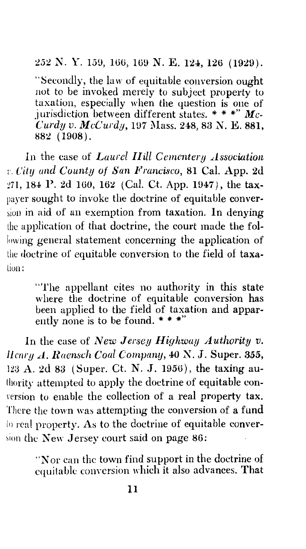252 N. Y. 159, 166, 169 N. E. 124, 126 (1929).

"Secondly, the law of equitable conversion ought not to be invoked merely to subject property to taxation, especially when the question is one of jurisdiction between different states. \* \* \*"  $Mc-$ *Curdy v. McCurdy, 197 Mass. 248, 83 N. E. 881,* 882 ( 1908).

In the case of *Laurel IIill Cemcntery Association*  r. *Citlj and County of San Francisco,* 81 Cal. App. 2d 271, 184 P. 2d 160, 162 (Cal. Ct. App. 1947), the taxpayer sought to invoke the doctrine of equitable conversion in aid of an exemption from taxation. In denying the application of that doctrine, the court made the following general statement concerning the application of the doetrine of equitable conversion to the field of taxation:

> "The appellant cites no authority in this state where the doctrine of equitable conversion has been applied to the field of taxation and apparently none is to be found. \* \* \*"

In the case of *New Jersey Highway Authority v. llcnry A. Raensch Coal Company,* 40 *X.* J. Super. 355, 123 A. 2d 83 (Super. Ct. N. J. 1956), the taxing authority attempted to apply the doctrine of equitable conversion to enable the collection of a real property tax. There the town was attempting the conversion of a fund lo real property. As to the doctrine of equitable conversion the New Jersey court said on page 86:

> "Nor can the town find support in the doetrine of cquitable conversion which it also advances. That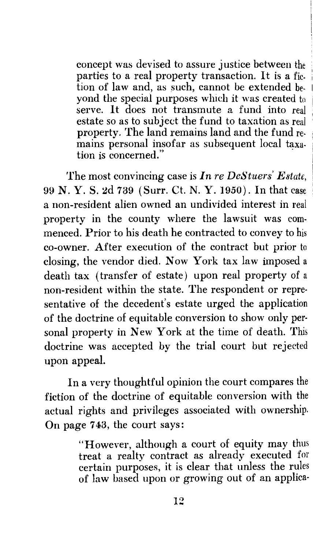concept was devised to assure justice between the parties to a real property transaction. It is a fiction of law and, as such, cannot be extended beyond the special purposes wluch it was created to serve. It does not transmute a fund into real estate so as to subject the fund to taxation as real property. The land remains land and the fund remains personal insofar as subsequent local taxa- $\mathbf t$ ion is concerned."  $\mathbf r$ 

The most convincing case is *In re DeStuers' Estate,*  99 N.Y. S. 2d 739 (Surr. Ct. N.Y. 1950). In that case a non-resident alien owned an undivided interest in real property in the county where the lawsuit was commenced. Prior to his death he contracted to convey to his co-owner. After execution of the contract but prior to closing, the vendor died. Now York tax law imposed a death tax (transfer of estate) upon real property of a non-resident within the state. The respondent or representative of the decedent's estate urged the application of the doctrine of equitable conversion to show only personal property in New York at the time of death. This doctrine was accepted by the trial court but rejected upon appeal.

In a very thoughtful opinion the court compares the fiction of the doctrine of equitable conversion with the actual rights and privileges associated with ownership. On page 743, the court says:

> "However, although a court of equity may thus treat a realty contract as already executed for certain purposes, it is clear that unless the rules of law based upon or growing out of an applica-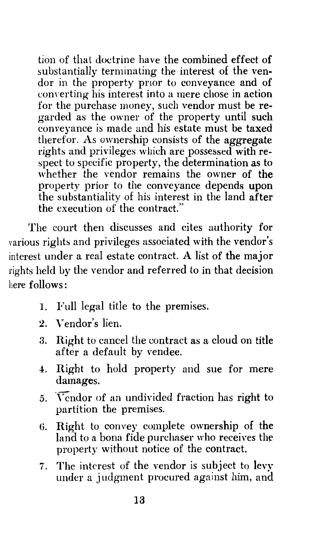tion of that doctrine have the combined effect of substantially terminating the interest of the vendor in the property prior to conveyance and of converting his interest into a mere chose in action for the purchase money, such vendor must be regarded as the owner of the property until such conveyance is made and his estate must be taxed therefor. As ownership consists of the aggregate rights and privileges which are possessed with respect to specific property, the determination as to whether the vendor remains the owner of the property prior to the conveyance depends upon the substantiality of his interest in the land after the execution of the contract."

The court then discusses and cites authority for various rights and privileges associated with the vendor's interest under a real estate contract. A list of the major rights held by the vendor and referred to in that decision here follows:

- 1. Full legal titie to the premises.
- 2. Vendor's lien.
- 3. Right to cancel the contract as a cloud on title after a default by vendee.
- 4. Right to hold property and sue for mere damages.
- 5. Vendor of an undivided fraction has right to partition the premises.
- *6.* Right to convey complete ownership of the land to a bona fide purchaser who receives the property without notice of the contract.
- 7. The interest of the vendor is subject to levy under a judgment procured against him, and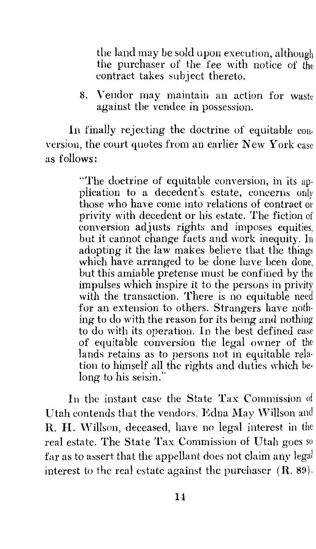the land may be sold upon execution, although the purchaser of the fee with notice of the contract takes subject thereto.

8. Vendor may maintain an action for waste against the vendee in possession.

In finally rejecting the doctrine of equitable con· version, the court quotes from an earlier New York case as follows:

> "The doctrine of equitable conversion, in its application to a decedent's estate, concerns only those who have come into relations of contract or privity with decedent or his estate. The fiction of conversion adjusts rights and imposes equities, but it cannot change facts and work inequity. In adopting it the law makes believe that the things which have arranged to be done have been done, but this amiable pretense must be confined by the impulses which inspire it to the persons in privity with the transaction. There is no equitable need for an extension to others. Strangers have nothing to do with the reason for its being and nothing to do with its operation. In the best defined case of equitable conversion the legal owner of the lands retains as to persons not in equitable relation to himself all the rights and duties which belong to his seisin."

In the instant case the State Tax Commission of Utah contends that the vendors, Edna May \Villson and R. H. Willson, deceased, have no legal interest in the real estate. The State Tax Commission of Utah goes so far as to assert that the appellant does not claim any legal interest to the real estate against the purchaser  $(R. 89)$ .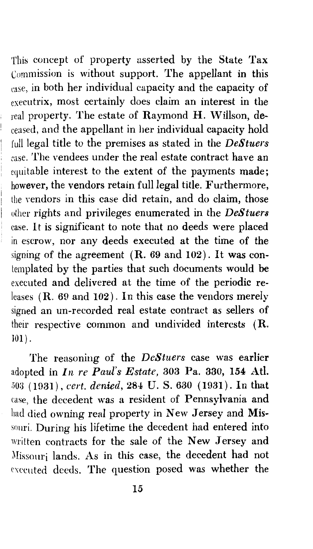This concept of property asserted by the State Tax Commission is without support. The appellant in this case, in both her individual capacity and the capacity of executrix, most certainly does claim an interest in the  $_{real}$  property. The estate of Raymond H. Willson, deceased, and the appellant in her individual capacity hold full legal title to the premises as stated in the *DeStuers*  case. The vendees under the real estate contract have an equitable interest to the extent of the payments made; however, the vendors retain full legal title. Furthermore, the vendors in this case did retain, and do claim, those other rights and privileges enumerated in the *DeStuers*  case. It is significant to note that no deeds were placed in escrow, nor any deeds executed at the time of the signing of the agreement  $(R. 69$  and  $102)$ . It was contemplated by the parties that such documents would be executed and delivered at the time of the periodic releases (R. 69 and 102). In this case the vendors merely signed an un-recorded real estate contract as sellers of their respective common and undivided interests (R. 101).

The reasoning of the *DeStners* case was earlier adopted in *In re Paul's Estate,* 303 Pa. 330, 154 Atl. 5013 ( 1!)31), *cert. denied,* 284 U. S. 630 ( 1931). In that case, the decedent was a resident of Pennsylvania and had died owning real property in New Jersey and Missouri. During his lifetime the decedent had entered into written contracts for the sale of the New Jersey and )lissouri lands. As in this case, the decedent had not executed deeds. The question posed was whether the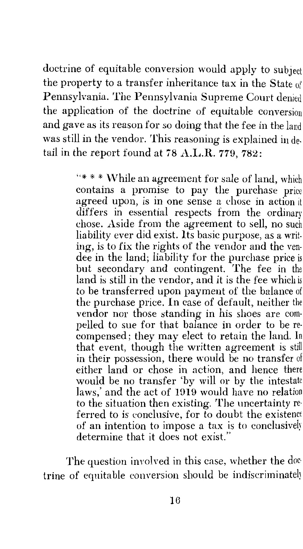doctrine of equitable conversion would apply to subject the property to a transfer inheritance tax in the State of Pennsylvania. The Pennsylvania Supreme Court denied the application of the doctrine of equitable conversion and gave as its reason for so doing that the fee in the land was still in the vendor. This reasoning is explained in detail in the report found at 78 A.L.R. 779, 782:

> "\* \* \* While an agreement for sale of land, which contains a promise to pay the purchase price agreed upon, is in one sense a chose in action it differs in essential respects from the ordinary chose. Aside from the agreement to sell, no such liability ever did exist. Its basic purpose, as a writing, is to fix the rights of the vendor and the vendee in the land; liability for the purchase price is but secondary and contingent. The fee in the land is still in the vendor, and it is the fee which is to be transferred upon payment of the balance of the purchase price. In case of default, neither the vendor nor those standing in his shoes are com· pelled to sue for that balance in order to be re· compensed; they may elect to retain the land. In that event, though the written agreement is still in their possession, there would be no transfer of either land or chose in action, and hence there would be no transfer 'by will or by the intestate laws,' and the act of 1919 would have no relation to the situation then existing. The uncertainty re· ferred to is conclusive, for to doubt the existence of an intention to impose a tax is to conclusive!) determine that it does not exist."

The question involved in this case, whether the doc trine of equitable conversion should be indiscriminate!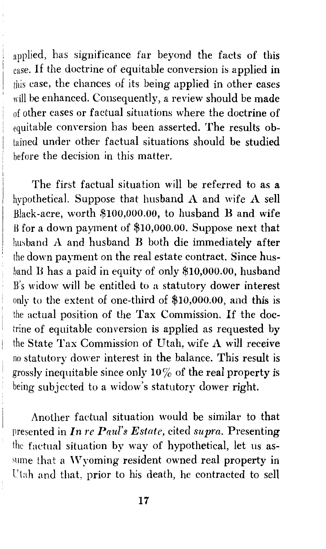applied, has significance far beyond the facts of this case. If the doctrine of equitable conversion is applied in this case, the chances of its being applied in other cases will be enhanced. Consequently, a review should be made of other cases or factual situations where the doctrine of equitable com·ersion has been asserted. The results obtained under other factual situations should be studied before the decision in this matter.

The first factual situation will be referred to as a hypothetical. Suppose that husband *A* and wife *A* sell Black-acre, worth \$100,000.00, to husband B and wife B for a down payment of \$10,000.00. Suppose next that husband *A* and husband B both die immediately after the down payment on the real estate contract. Since husband B has a paid in equity of only \$10,000.00, husband B's widow will be entitled to a statutory dower interest *!* only to the extent of one-third of \$10,000.00, and this is the actual position of the Tax Commission. If the doctrine of equitable conversion is applied as requested by the State Tax Commission of Utah, wife *A* will receive no statutory dower interest in the balance. This result is grossly inequitable since only  $10\%$  of the real property is being subjected to a widow's statutory dower right.

Another factual situation would be similar to that presented in *In re Paul's Estate,* cited *supra.* Presenting the factual situation by way of hypothetical, let us as sume that a Wyoming resident owned real property in l'tah and that, prior to his death, he contracted to sell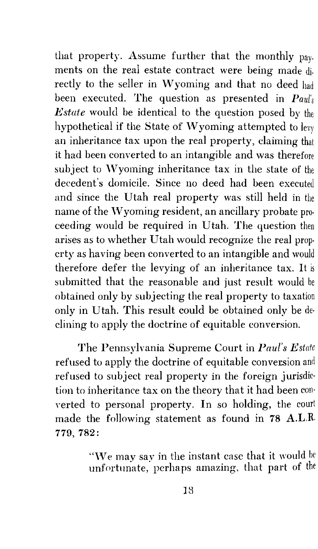that property. Assume further that the monthly pay. ments on the real estate contract were being made di. rectly to the seller in Wyoming and that no deed had been executed. The question as presented in *Paul's Estate* would be identical to the question posed by the hypothetical if the State of Wyoming attempted to levy an inheritance tax upon the real property, claiming that it had been converted to an intangible and was therefore subject to Wyoming inheritance tax in the state of the decedent's domicile. Since no deed had been executed and since the Utah real property was still held in the name of the Wyoming resident, an ancillary probate proceeding would be required in Utah. The question then arises as to whether Utah would recognize the real prop· crty as having been converted to an intangible and would therefore defer the levying of an inheritance tax. It is submitted that the reasonable and just result would be obtained only by subjecting the real property to taxation only in Utah. This result could be obtained only be de· clining to apply the doctrine of equitable conversion.

The Pennsylvania Supreme Court in *Paul's Estate*  refused to apply the doctrine of equitable conversion and refused to subject real property in the foreign jurisdiction to inheritance tax on the theory that it had been con· Yerted to personal property. In so holding, the court made the following statement as found in 78 A.L.R. 779, 782:

> "We may say in the instant case that it would be unfortunate, perhaps amazing, that part of the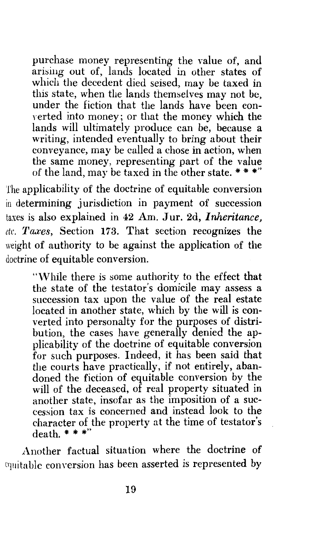purchase money representing the value of, and arising out of, lands located in other states of which the decedent died seised, may be taxed in this state, when the lands themselves may not be, under the fiction that the lands have been converted into money; or that the money which the lands will ultimately produce can be, because a writing, intended eventually to bring about their conveyance, may be called a chose in action, when the same money, representing part of the value of the land, may be taxed in the other state.  $*$ 

The applicability of the doctrine of equitable conversion in determining jurisdiction in payment of succession taxes is also explained in 42 Am. Jur. 2d, *Inheritance*. *etc. 'l'axes,* Section 173. That section recognizes the weight of authority to be against the application of the doctrine of equitable conversion.

> "While there is some authority to the effect that the state of the testator's domicile may assess a succession tax upon the value of the real estate located in another state, which by the will is converted into personalty for the purposes of distribution, the cases have generally denied the applicability of the doctrine of equitable conversion for such purposes. Indeed, it has been said that the courts have practically, if not entirely, abandoned the fiction of equitable conversion by the will of the deceased, of real property situated in another state, insofar as the imposition of a succession tax is concerned and instead look to the character of the property at the time of testator's  $death.$  \* \* \*"

Another factual situation where the doctrine of equitable conversion has been asserted is represented by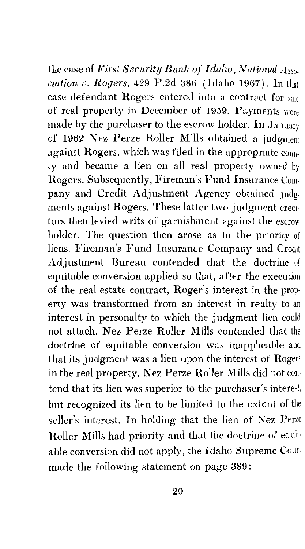the case of *Pirst Security Bank of Idaho, National Asso. ciation v. Rogers,* 429 P.2d 386 (Idaho 1967). In that case defendant Rogers entered into a contract for sale of real property in December of 1959. Payments were made by the purchaser to the escrow holder. In January of 1962 Nez Perze Roller Mills obtained a judgment against Rogers, which was filed in the appropriate county and became a lien on all real property owned by Rogers. Subsequently, Fireman's Fund Insurance Company and Credit Adjustment Agency obtained judgments against Rogers. These latter two judgment creditors then levied writs of garnishment against the escrow holder. The question then arose as to the priority of liens. Fireman's Fund Insurance Company and Credit Adjustment Bureau contended that the doctrine of equitable conversion applied so that, after the execution of the real estate contract, Roger's interest in the property was transformed from an interest in realty to an interest in personalty to which the judgment lien could not attach. Nez Perze Roller Mills contended that the doctrine of equitable conversion was inapplicable and that its judgment was a lien upon the interest of Rogers in the real property. Nez Perze Roller Mills did not contend that its lien was superior to the purchaser's but recognized its lien to be limited to the extent of the seller's interest. In holding that the lien of Nez Perze Roller Mills had priority and that the doctrine of equitable conversion did not apply, the Idaho Supreme Court made the following statement on page 389: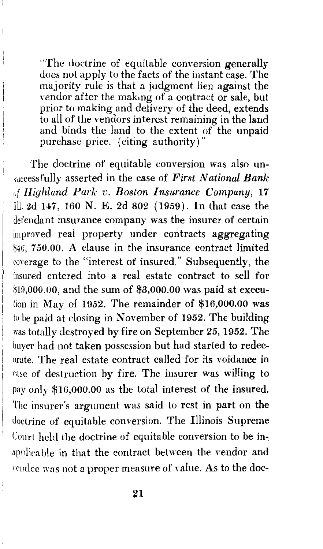"The doctrine of equitable conversion generally does not apply to the facts of the instant case. The majority rule is that a judgment lien against the vendor after the making of a contract or sale, but prior to making and delivery of the deed, extends to all of the vendors interest remaining in the land and binds the land to the extent of the unpaid purchase price. (citing authority)"

The doctrine of equitable conversion was also unsuccessfully asserted in the case of *First National Bank uf Highland Park v. Boston Insurance Company,* 17 Ill. 2d 147, 160 N. E. 2d 802 (1959). In that case the defendant insurance company was the insurer of certain improved real property under contracts aggregating 750.00. A clause in the insurance contract limited roverage to the "interest of insured." Subsequently, the insured entered into a real estate contract to sell for  $$19,000.00$ , and the sum of  $$3,000.00$  was paid at execution in May of 1952. The remainder of  $$16,000.00$  was tu be paid at closing in November of 1952. The building was totally destroyed by fire on September 25, 1952. The buyer had not taken possession but had started to redecorate. The real estate contract called for its voidance in case of destruction by fire. The insurer was willing to pay only \$16,000.00 as the total interest of the insured. The insurer's argument was said to rest in part on the doctrine of equitable conversion. The Illinois Supreme Court held the doctrine of equitable conversion to be inapplicable in that the contract between the vendor and rendee was not a proper measure of value. As to the doc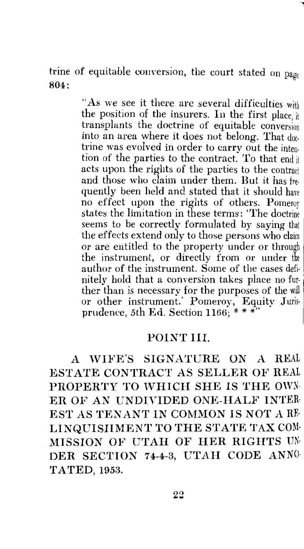trine of equitable conversion, the court stated on  $pa_{PP}$ 804: In the set of the set of the set of the set of the set of the set of the set of the set of the set of the set of the set of the set of the set of the set of the set of the set of the set of the set of the set of the s

> "As we see it there are several difficulties with the position of the insurers. In the first place,  $\frac{1}{k}$ transplants the doctrine of equitable conversion into an area where it does not belong. That doctrine was evolved in order to carry out the intention of the parties to the contract. To that end it acts upon the rights of the parties to the contract and those who claim under them. But it has frequently been held and stated that it should have no effect upon the rights of others. Pomeroy states the limitation in these terms: 'The seems to be correctly formulated by saying that the effects extend only to those persons who claim or are entitled to the property under or through the instrument, or directly from or under the author of the instrument. Some of the cases defi- <sup>1</sup> nitely hold that a conversion takes place no fur- ' ther than is necessary for the purposes of the will or other instrument.' Pomeroy, Equity Jurisprudence, 5th Ed. Section 1166: \*\*\*

#### POINT III.

*A* WIFE'S SIGNATURE ON A REAL ESTATE CONTRACT AS SELLER OF REAL PROPERTY TO WHICH SHE IS THE OWN-ER OF AN UNDIVIDED ONE-HALF INTER EST AS TENANT IN COMMON IS NOT A RE-LINQUISHMENT TO THE STATE TAX COM· MISSION OF UTAH OF HER RIGHTS UN· DER SECTION 74-4-3, UTAH CODE ANNO· TATED, 1953.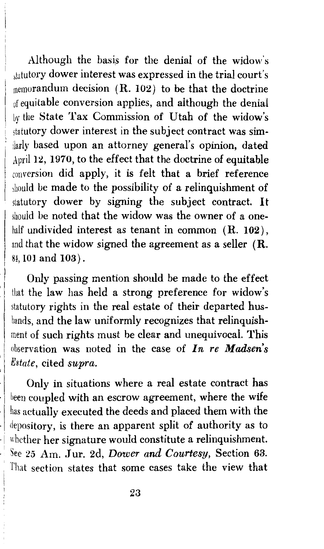Although the basis for the denial of the widow's statutory dower interest was expressed in the trial court's  $m$ emorandum decision ( $R. 102$ ) to be that the doctrine of equitable conversion applies, and although the denial Ly the State Tax Commission of Utah of the widow's statutory dower interest in the subject contract was similarly based upon an attorney general's opinion, dated April 12, 1970, to the effect that the doctrine of equitable conversion did apply, it is felt that a brief reference should be made to the possibility of a relinquishment of statutory dower by signing the subject contract. It should be noted that the widow was the owner of a onehalf undivided interest as tenant in common  $(R. 102)$ , and that the widow signed the agreement as a seller (R. 84, 101 and 103).

Only passing mention should be made to the effect that the law has held a strong preference for widow's statutory rights in the real estate of their departed husbands, and the law uniformly recognizes that relinquishment of such rights must be clear and unequivocal. This observation was noted in the case of *In re Madsen's Estate,* cited *supra.* 

Only in situations where a real estate contract has been coupled with an escrow agreement, where the wife has actually executed the deeds and placed them with the depository, is there an apparent split of authority as to whether her signature would constitute a relinquishment. ). · See 25 Am. J ur. 2d, *Dower and Courtesy,* Section 63. That section states that some cases take the view that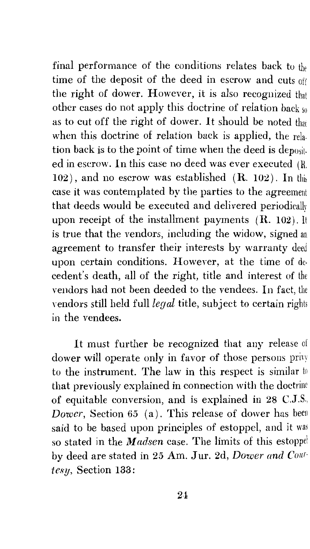final performance of the conditions relates back to the time of the deposit of the deed in escrow and cuts off the right of dower. However, it is also recognized that other cases do not apply this doctrine of relation back so as to cut off the right of dower. It should be noted that when this doctrine of relation back is applied, the rela. tion back is to the point of time when the deed is deposited in eserow. In this case no deed was ever executed (R.  $102$ ), and no escrow was established (R. 102). In this case it was contemplated by the parties to the agreement that deeds would be executed and delivered periodically upon receipt of the installment payments (R. 102). It is true that the vendors, including the widow, signed an agreement to transfer their interests by warranty deed upon certain conditions. However, at the time of decedent's death, all of the right, title and interest of the vendors had not been deeded to the vendees. In fact, the vendors still held full *legal* title, subject to certain rights in the vendees.

It must further be recognized that any release of dower will operate only in favor of those persons privy to the instrument. The law in this respect is similar to that previously explained in connection with the doctrine of equitable conversion, and is explained in 28 C.J.S., *Dower,* Section 65 (a). This release of dower has been said to be based upon principles of estoppel, and it was so stated in the *Madsen* case. The limits of this estoppel by deed are stated in 25 Am. J ur. 2d, *Dower and Courtesy,* Section 133 :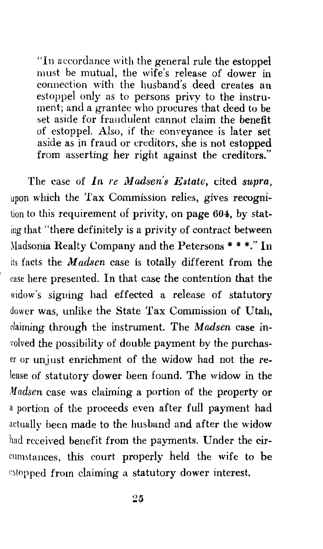"In accordance with the general rule the estoppel must be mutual, the wife's release of dower in connection with the husband's deed creates an estoppel only as to persons privy to the instrument; and a grantee who procures that deed to be set aside for fraudulent cannot claim the benefit of estoppel. Also, if the conveyance is later set aside as in fraud or creditors, she is not estopped from asserting her right against the creditors."

The case of *In re Madsen's Estate*, cited *supra*, upon which the Tax Commission relies, gives recognition to this requirement of privity, on page 604, by stating that "there definitely is a privity of contract between )ladsonia Realty Company and the Petersons \*\*\*."In its facts the *Madsen* case is totally different from the case here presented. In that case the contention that the widow's signing had effected a release of statutory dower was, unlike the State Tax Commission of Utah, claiming through the instrument. The *Madsen* case involved the possibility of double payment by the purchaser or unjust enrichment of the widow had not the release of statutory dower been found. The widow in the *Madsen* case was claiming a portion of the property or a portion of the proceeds even after full payment had actually been made to the husband and after the widow had received benefit from the payments. Under the circumstances, this court properly held the wife to be estopped from claiming a statutory dower interest.